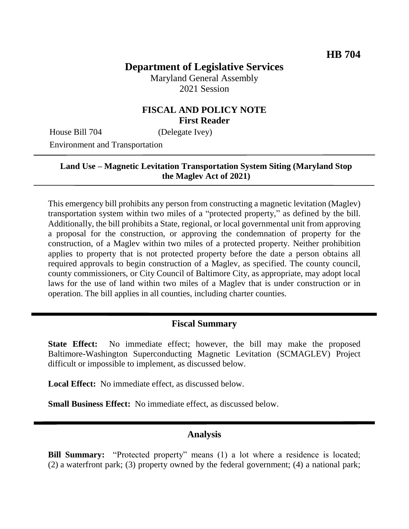# **Department of Legislative Services**

Maryland General Assembly 2021 Session

## **FISCAL AND POLICY NOTE First Reader**

House Bill 704 (Delegate Ivey)

Environment and Transportation

#### **Land Use – Magnetic Levitation Transportation System Siting (Maryland Stop the Maglev Act of 2021)**

This emergency bill prohibits any person from constructing a magnetic levitation (Maglev) transportation system within two miles of a "protected property," as defined by the bill. Additionally, the bill prohibits a State, regional, or local governmental unit from approving a proposal for the construction, or approving the condemnation of property for the construction, of a Maglev within two miles of a protected property. Neither prohibition applies to property that is not protected property before the date a person obtains all required approvals to begin construction of a Maglev, as specified. The county council, county commissioners, or City Council of Baltimore City, as appropriate, may adopt local laws for the use of land within two miles of a Maglev that is under construction or in operation. The bill applies in all counties, including charter counties.

#### **Fiscal Summary**

**State Effect:** No immediate effect; however, the bill may make the proposed Baltimore-Washington Superconducting Magnetic Levitation (SCMAGLEV) Project difficult or impossible to implement, as discussed below.

**Local Effect:** No immediate effect, as discussed below.

**Small Business Effect:** No immediate effect, as discussed below.

#### **Analysis**

**Bill Summary:** "Protected property" means (1) a lot where a residence is located; (2) a waterfront park; (3) property owned by the federal government; (4) a national park;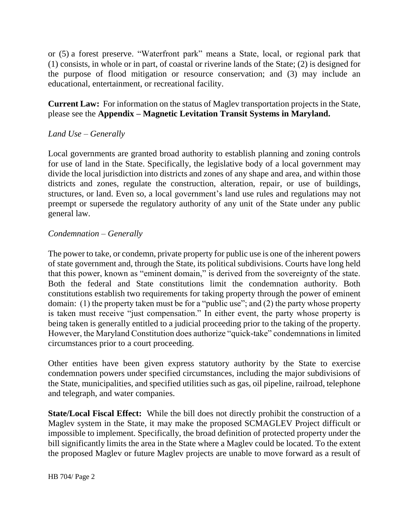or (5) a forest preserve. "Waterfront park" means a State, local, or regional park that (1) consists, in whole or in part, of coastal or riverine lands of the State; (2) is designed for the purpose of flood mitigation or resource conservation; and (3) may include an educational, entertainment, or recreational facility.

#### **Current Law:** For information on the status of Maglev transportation projects in the State, please see the **Appendix – Magnetic Levitation Transit Systems in Maryland.**

## *Land Use – Generally*

Local governments are granted broad authority to establish planning and zoning controls for use of land in the State. Specifically, the legislative body of a local government may divide the local jurisdiction into districts and zones of any shape and area, and within those districts and zones, regulate the construction, alteration, repair, or use of buildings, structures, or land. Even so, a local government's land use rules and regulations may not preempt or supersede the regulatory authority of any unit of the State under any public general law.

#### *Condemnation – Generally*

The power to take, or condemn, private property for public use is one of the inherent powers of state government and, through the State, its political subdivisions. Courts have long held that this power, known as "eminent domain," is derived from the sovereignty of the state. Both the federal and State constitutions limit the condemnation authority. Both constitutions establish two requirements for taking property through the power of eminent domain: (1) the property taken must be for a "public use"; and (2) the party whose property is taken must receive "just compensation." In either event, the party whose property is being taken is generally entitled to a judicial proceeding prior to the taking of the property. However, the Maryland Constitution does authorize "quick-take" condemnations in limited circumstances prior to a court proceeding.

Other entities have been given express statutory authority by the State to exercise condemnation powers under specified circumstances, including the major subdivisions of the State, municipalities, and specified utilities such as gas, oil pipeline, railroad, telephone and telegraph, and water companies.

**State/Local Fiscal Effect:** While the bill does not directly prohibit the construction of a Maglev system in the State, it may make the proposed SCMAGLEV Project difficult or impossible to implement. Specifically, the broad definition of protected property under the bill significantly limits the area in the State where a Maglev could be located. To the extent the proposed Maglev or future Maglev projects are unable to move forward as a result of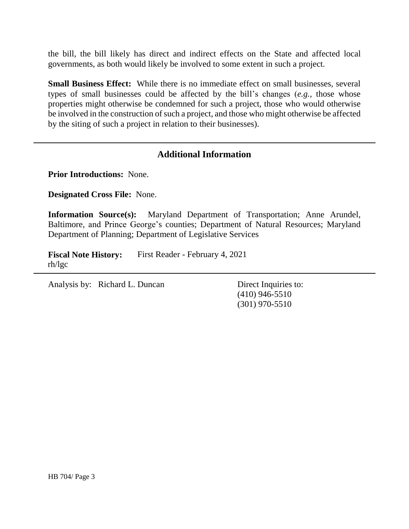the bill, the bill likely has direct and indirect effects on the State and affected local governments, as both would likely be involved to some extent in such a project.

**Small Business Effect:** While there is no immediate effect on small businesses, several types of small businesses could be affected by the bill's changes (*e.g.*, those whose properties might otherwise be condemned for such a project, those who would otherwise be involved in the construction of such a project, and those who might otherwise be affected by the siting of such a project in relation to their businesses).

# **Additional Information**

**Prior Introductions:** None.

**Designated Cross File:** None.

**Information Source(s):** Maryland Department of Transportation; Anne Arundel, Baltimore, and Prince George's counties; Department of Natural Resources; Maryland Department of Planning; Department of Legislative Services

**Fiscal Note History:** First Reader - February 4, 2021 rh/lgc

Analysis by: Richard L. Duncan Direct Inquiries to:

(410) 946-5510 (301) 970-5510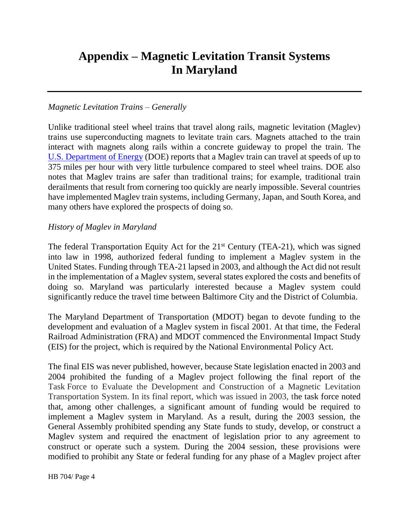# **Appendix – Magnetic Levitation Transit Systems In Maryland**

#### *Magnetic Levitation Trains – Generally*

Unlike traditional steel wheel trains that travel along rails, magnetic levitation (Maglev) trains use superconducting magnets to levitate train cars. Magnets attached to the train interact with magnets along rails within a concrete guideway to propel the train. The U.S. [Department of Energy](https://www.energy.gov/articles/how-maglev-works) (DOE) reports that a Maglev train can travel at speeds of up to 375 miles per hour with very little turbulence compared to steel wheel trains. DOE also notes that Maglev trains are safer than traditional trains; for example, traditional train derailments that result from cornering too quickly are nearly impossible. Several countries have implemented Maglev train systems, including Germany, Japan, and South Korea, and many others have explored the prospects of doing so.

#### *History of Maglev in Maryland*

The federal Transportation Equity Act for the  $21<sup>st</sup>$  Century (TEA-21), which was signed into law in 1998, authorized federal funding to implement a Maglev system in the United States. Funding through TEA-21 lapsed in 2003, and although the Act did not result in the implementation of a Maglev system, several states explored the costs and benefits of doing so. Maryland was particularly interested because a Maglev system could significantly reduce the travel time between Baltimore City and the District of Columbia.

The Maryland Department of Transportation (MDOT) began to devote funding to the development and evaluation of a Maglev system in fiscal 2001. At that time, the Federal Railroad Administration (FRA) and MDOT commenced the Environmental Impact Study (EIS) for the project, which is required by the National Environmental Policy Act.

The final EIS was never published, however, because State legislation enacted in 2003 and 2004 prohibited the funding of a Maglev project following the final report of the Task Force to Evaluate the Development and Construction of a Magnetic Levitation Transportation System. In its final report, which was issued in 2003, the task force noted that, among other challenges, a significant amount of funding would be required to implement a Maglev system in Maryland. As a result, during the 2003 session, the General Assembly prohibited spending any State funds to study, develop, or construct a Maglev system and required the enactment of legislation prior to any agreement to construct or operate such a system. During the 2004 session, these provisions were modified to prohibit any State or federal funding for any phase of a Maglev project after